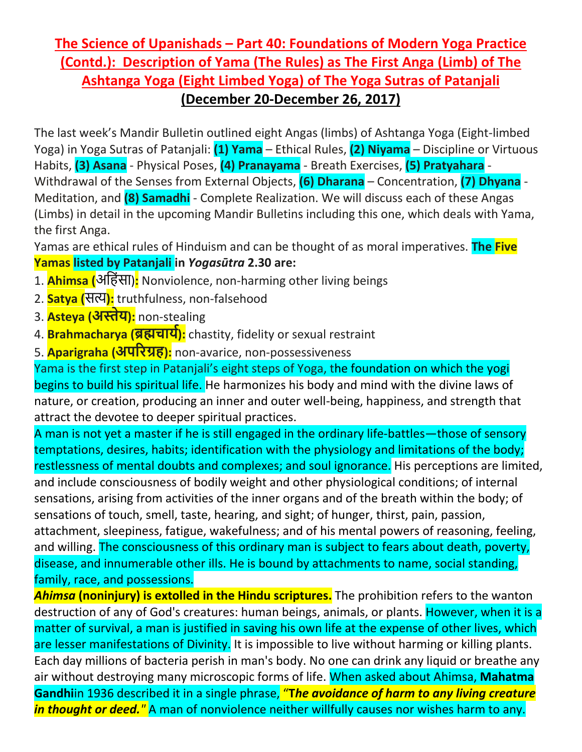## **The Science of Upanishads – Part 40: Foundations of Modern Yoga Practice (Contd.): Description of Yama (The Rules) as The First Anga (Limb) of The Ashtanga Yoga (Eight Limbed Yoga) of The Yoga Sutras of Patanjali (December 20-December 26, 2017)**

The last week's Mandir Bulletin outlined eight Angas (limbs) of Ashtanga Yoga (Eight-limbed Yoga) in Yoga Sutras of Patanjali: **(1) Yama** – Ethical Rules, **(2) Niyama** – Discipline or Virtuous Habits, **(3) Asana** - Physical Poses, **(4) Pranayama** - Breath Exercises, **(5) Pratyahara** - Withdrawal of the Senses from External Objects, **(6) Dharana** – Concentration, **(7) Dhyana** - Meditation, and **(8) Samadhi** - Complete Realization. We will discuss each of these Angas (Limbs) in detail in the upcoming Mandir Bulletins including this one, which deals with Yama, the first Anga.

Yamas are ethical rules of Hinduism and can be thought of as moral imperatives. **The Five Yamas listed by Patanjali in** *Yogasūtra* **2.30 are:**

- 1. **Ahimsa (**अिहंसा)**:** Nonviolence, non-harming other living beings
- 2. **Satya (**स�**):** truthfulness, non-falsehood
- 3. **Asteya (अ�ेय):** non-stealing
- 4. **Brahmacharya (ब्र�चाय�):** chastity, fidelity or sexual restraint
- 5. **Aparigraha (अप�रग्रह):** non-avarice, non-possessiveness

Yama is the first step in Patanjali's eight steps of Yoga, the foundation on which the yogi begins to build his spiritual life. He harmonizes his body and mind with the divine laws of nature, or creation, producing an inner and outer well-being, happiness, and strength that attract the devotee to deeper spiritual practices.

A man is not yet a master if he is still engaged in the ordinary life-battles—those of sensory temptations, desires, habits; identification with the physiology and limitations of the body; restlessness of mental doubts and complexes; and soul ignorance. His perceptions are limited, and include consciousness of bodily weight and other physiological conditions; of internal sensations, arising from activities of the inner organs and of the breath within the body; of sensations of touch, smell, taste, hearing, and sight; of hunger, thirst, pain, passion, attachment, sleepiness, fatigue, wakefulness; and of his mental powers of reasoning, feeling, and willing. The consciousness of this ordinary man is subject to fears about death, poverty, disease, and innumerable other ills. He is bound by attachments to name, social standing, family, race, and possessions.

*Ahimsa* **(noninjury) is extolled in the Hindu scriptures.** The prohibition refers to the wanton destruction of any of God's creatures: human beings, animals, or plants. However, when it is a matter of survival, a man is justified in saving his own life at the expense of other lives, which are lesser manifestations of Divinity. It is impossible to live without harming or killing plants. Each day millions of bacteria perish in man's body. No one can drink any liquid or breathe any air without destroying many microscopic forms of life. When asked about Ahimsa, **Mahatma Gandhi**in 1936 described it in a single phrase, "**T***he avoidance of harm to any living creature in thought or deed."* A man of nonviolence neither willfully causes nor wishes harm to any.